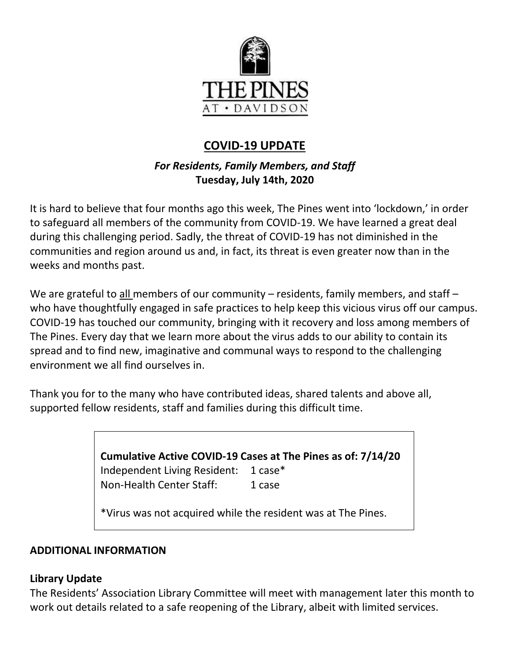

# **COVID-19 UPDATE**

# *For Residents, Family Members, and Staff* **Tuesday, July 14th, 2020**

It is hard to believe that four months ago this week, The Pines went into 'lockdown,' in order to safeguard all members of the community from COVID-19. We have learned a great deal during this challenging period. Sadly, the threat of COVID-19 has not diminished in the communities and region around us and, in fact, its threat is even greater now than in the weeks and months past.

We are grateful to all members of our community – residents, family members, and staff – who have thoughtfully engaged in safe practices to help keep this vicious virus off our campus. COVID-19 has touched our community, bringing with it recovery and loss among members of The Pines. Every day that we learn more about the virus adds to our ability to contain its spread and to find new, imaginative and communal ways to respond to the challenging environment we all find ourselves in.

Thank you for to the many who have contributed ideas, shared talents and above all, supported fellow residents, staff and families during this difficult time.

> **Cumulative Active COVID-19 Cases at The Pines as of: 7/14/20** Independent Living Resident: 1 case\* Non-Health Center Staff: 1 case

\*Virus was not acquired while the resident was at The Pines.

#### **ADDITIONAL INFORMATION**

#### **Library Update**

The Residents' Association Library Committee will meet with management later this month to work out details related to a safe reopening of the Library, albeit with limited services.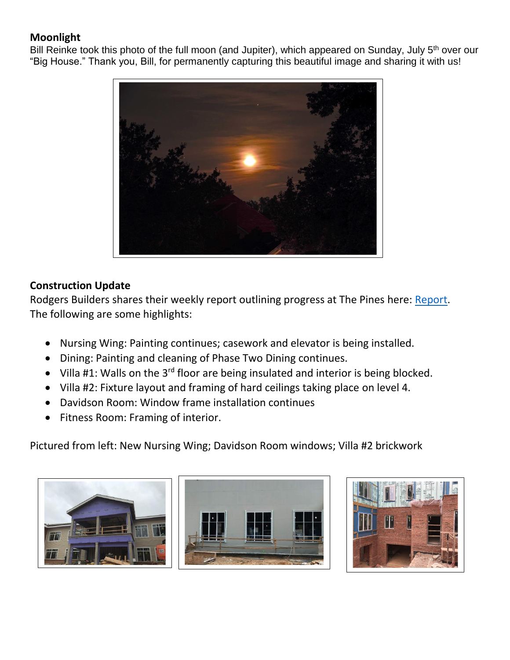# **Moonlight**

Bill Reinke took this photo of the full moon (and Jupiter), which appeared on Sunday, July 5<sup>th</sup> over our "Big House." Thank you, Bill, for permanently capturing this beautiful image and sharing it with us!



### **Construction Update**

Rodgers Builders shares their weekly report outlining progress at The Pines here: [Report.](https://www.mycommunity-center.com/filephotos/463/2020-07-10%20Weekly%20Update.pdf) The following are some highlights:

- Nursing Wing: Painting continues; casework and elevator is being installed.
- Dining: Painting and cleaning of Phase Two Dining continues.
- Villa #1: Walls on the 3<sup>rd</sup> floor are being insulated and interior is being blocked.
- Villa #2: Fixture layout and framing of hard ceilings taking place on level 4.
- Davidson Room: Window frame installation continues
- Fitness Room: Framing of interior.

Pictured from left: New Nursing Wing; Davidson Room windows; Villa #2 brickwork